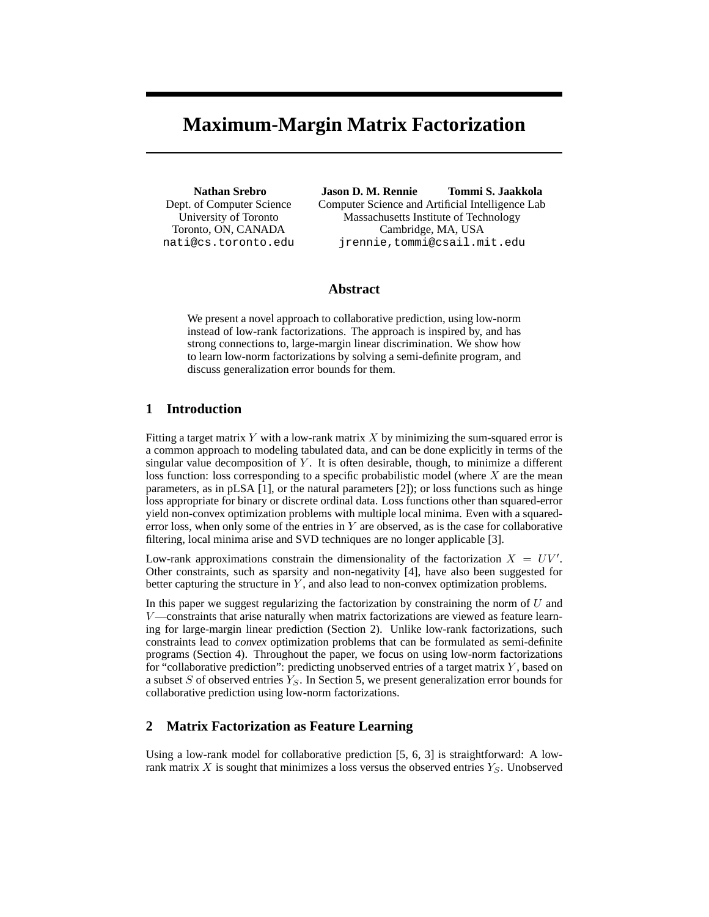# **Maximum-Margin Matrix Factorization**

**Nathan Srebro** Dept. of Computer Science University of Toronto Toronto, ON, CANADA nati@cs.toronto.edu

**Jason D. M. Rennie Tommi S. Jaakkola** Computer Science and Artificial Intelligence Lab Massachusetts Institute of Technology Cambridge, MA, USA jrennie,tommi@csail.mit.edu

#### **Abstract**

We present a novel approach to collaborative prediction, using low-norm instead of low-rank factorizations. The approach is inspired by, and has strong connections to, large-margin linear discrimination. We show how to learn low-norm factorizations by solving a semi-definite program, and discuss generalization error bounds for them.

## **1 Introduction**

Fitting a target matrix  $Y$  with a low-rank matrix  $X$  by minimizing the sum-squared error is a common approach to modeling tabulated data, and can be done explicitly in terms of the singular value decomposition of  $Y$ . It is often desirable, though, to minimize a different loss function: loss corresponding to a specific probabilistic model (where  $X$  are the mean parameters, as in pLSA [1], or the natural parameters [2]); or loss functions such as hinge loss appropriate for binary or discrete ordinal data. Loss functions other than squared-error yield non-convex optimization problems with multiple local minima. Even with a squarederror loss, when only some of the entries in  $Y$  are observed, as is the case for collaborative filtering, local minima arise and SVD techniques are no longer applicable [3].

Low-rank approximations constrain the dimensionality of the factorization  $X = UV'$ . Other constraints, such as sparsity and non-negativity [4], have also been suggested for better capturing the structure in  $Y$ , and also lead to non-convex optimization problems.

In this paper we suggest regularizing the factorization by constraining the norm of  $U$  and  $V$ —constraints that arise naturally when matrix factorizations are viewed as feature learning for large-margin linear prediction (Section 2). Unlike low-rank factorizations, such constraints lead to *convex* optimization problems that can be formulated as semi-definite programs (Section 4). Throughout the paper, we focus on using low-norm factorizations for "collaborative prediction": predicting unobserved entries of a target matrix  $Y$ , based on a subset  $S$  of observed entries  $Y_S$ . In Section 5, we present generalization error bounds for collaborative prediction using low-norm factorizations.

# **2 Matrix Factorization as Feature Learning**

Using a low-rank model for collaborative prediction [5, 6, 3] is straightforward: A lowrank matrix X is sought that minimizes a loss versus the observed entries  $Y<sub>S</sub>$ . Unobserved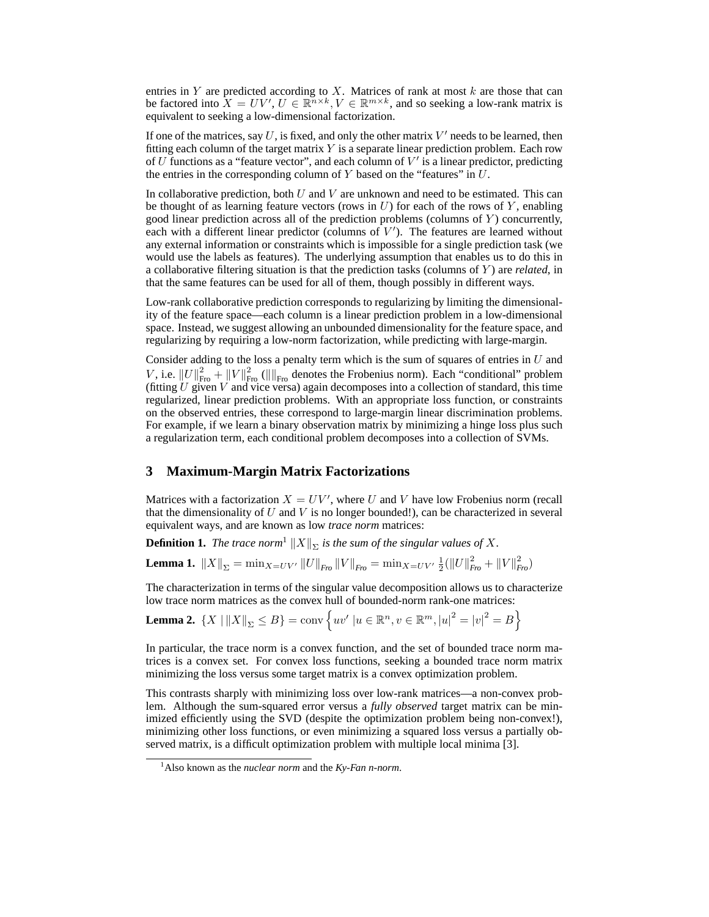entries in Y are predicted according to X. Matrices of rank at most  $k$  are those that can be factored into  $X = UV', U \in \mathbb{R}^{n \times k}, V \in \mathbb{R}^{m \times k}$ , and so seeking a low-rank matrix is equivalent to seeking a low-dimensional factorization.

If one of the matrices, say  $U$ , is fixed, and only the other matrix  $V'$  needs to be learned, then fitting each column of the target matrix  $Y$  is a separate linear prediction problem. Each row of U functions as a "feature vector", and each column of  $V'$  is a linear predictor, predicting the entries in the corresponding column of  $Y$  based on the "features" in  $U$ .

In collaborative prediction, both  $U$  and  $V$  are unknown and need to be estimated. This can be thought of as learning feature vectors (rows in  $U$ ) for each of the rows of  $Y$ , enabling good linear prediction across all of the prediction problems (columns of  $Y$ ) concurrently, each with a different linear predictor (columns of  $V'$ ). The features are learned without any external information or constraints which is impossible for a single prediction task (we would use the labels as features). The underlying assumption that enables us to do this in a collaborative filtering situation is that the prediction tasks (columns of Y ) are *related*, in that the same features can be used for all of them, though possibly in different ways.

Low-rank collaborative prediction corresponds to regularizing by limiting the dimensionality of the feature space—each column is a linear prediction problem in a low-dimensional space. Instead, we suggest allowing an unbounded dimensionality for the feature space, and regularizing by requiring a low-norm factorization, while predicting with large-margin.

Consider adding to the loss a penalty term which is the sum of squares of entries in  $U$  and V, i.e.  $||U||_{\text{Fro}}^2 + ||V||_{\text{Fro}}^2$  ( $||\|_{\text{Fro}}$  denotes the Frobenius norm). Each "conditional" problem (fitting  $U$  given  $V$  and vice versa) again decomposes into a collection of standard, this time regularized, linear prediction problems. With an appropriate loss function, or constraints on the observed entries, these correspond to large-margin linear discrimination problems. For example, if we learn a binary observation matrix by minimizing a hinge loss plus such a regularization term, each conditional problem decomposes into a collection of SVMs.

# **3 Maximum-Margin Matrix Factorizations**

Matrices with a factorization  $X = UV'$ , where U and V have low Frobenius norm (recall that the dimensionality of  $U$  and  $V$  is no longer bounded!), can be characterized in several equivalent ways, and are known as low *trace norm* matrices:

**Definition 1.** *The trace norm*<sup>1</sup>  $\|X\|_{\Sigma}$  *is the sum of the singular values of* X.

**Lemma 1.**  $||X||_{\Sigma} = \min_{X=UV'} ||U||_{Fro} ||V||_{Fro} = \min_{X=UV'} \frac{1}{2} (||U||_{Fro}^2 + ||V||_{Fro}^2)$ 

The characterization in terms of the singular value decomposition allows us to characterize low trace norm matrices as the convex hull of bounded-norm rank-one matrices:

**Lemma 2.** 
$$
{X \mid ||X||_{\Sigma} \le B} = \text{conv} \{ uv' | u \in \mathbb{R}^n, v \in \mathbb{R}^m, |u|^2 = |v|^2 = B \}
$$

In particular, the trace norm is a convex function, and the set of bounded trace norm matrices is a convex set. For convex loss functions, seeking a bounded trace norm matrix minimizing the loss versus some target matrix is a convex optimization problem.

This contrasts sharply with minimizing loss over low-rank matrices—a non-convex problem. Although the sum-squared error versus a *fully observed* target matrix can be minimized efficiently using the SVD (despite the optimization problem being non-convex!), minimizing other loss functions, or even minimizing a squared loss versus a partially observed matrix, is a difficult optimization problem with multiple local minima [3].

<sup>1</sup>Also known as the *nuclear norm* and the *Ky-Fan n-norm*.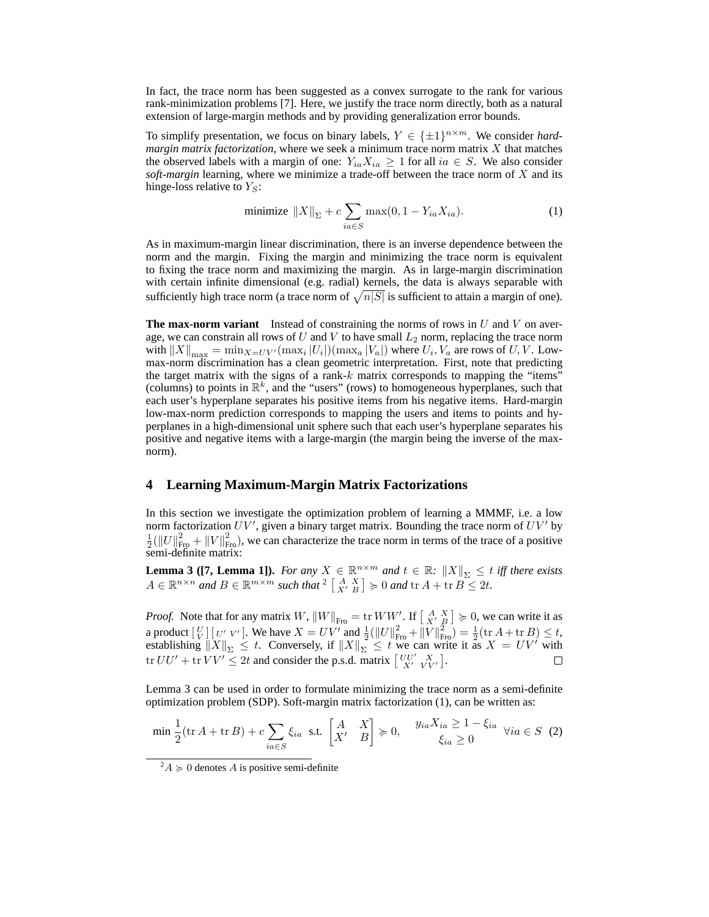In fact, the trace norm has been suggested as a convex surrogate to the rank for various rank-minimization problems [7]. Here, we justify the trace norm directly, both as a natural extension of large-margin methods and by providing generalization error bounds.

To simplify presentation, we focus on binary labels,  $Y \in {\{\pm 1\}}^{n \times m}$ . We consider *hardmargin matrix factorization*, where we seek a minimum trace norm matrix X that matches the observed labels with a margin of one:  $Y_{ia}X_{ia} \geq 1$  for all  $ia \in S$ . We also consider *soft-margin* learning, where we minimize a trade-off between the trace norm of X and its hinge-loss relative to  $Y_S$ :

$$
\text{minimize } \|X\|_{\Sigma} + c \sum_{ia \in S} \max(0, 1 - Y_{ia} X_{ia}). \tag{1}
$$

As in maximum-margin linear discrimination, there is an inverse dependence between the norm and the margin. Fixing the margin and minimizing the trace norm is equivalent to fixing the trace norm and maximizing the margin. As in large-margin discrimination with certain infinite dimensional (e.g. radial) kernels, the data is always separable with sufficiently high trace norm (a trace norm of  $\sqrt{n|S|}$  is sufficient to attain a margin of one).

**The max-norm variant** Instead of constraining the norms of rows in  $U$  and  $V$  on average, we can constrain all rows of  $U$  and  $V$  to have small  $L_2$  norm, replacing the trace norm with  $||X||_{\max} = \min_{X=UV'} (\max_i |U_i|)(\max_a |V_a|)$  where  $U_i, V_a$  are rows of U, V. Lowmax-norm discrimination has a clean geometric interpretation. First, note that predicting the target matrix with the signs of a rank- $k$  matrix corresponds to mapping the "items" (columns) to points in  $\mathbb{R}^k$ , and the "users" (rows) to homogeneous hyperplanes, such that each user's hyperplane separates his positive items from his negative items. Hard-margin low-max-norm prediction corresponds to mapping the users and items to points and hyperplanes in a high-dimensional unit sphere such that each user's hyperplane separates his positive and negative items with a large-margin (the margin being the inverse of the maxnorm).

## **4 Learning Maximum-Margin Matrix Factorizations**

In this section we investigate the optimization problem of learning a MMMF, i.e. a low norm factorization  $UV'$ , given a binary target matrix. Bounding the trace norm of  $UV'$  by  $\frac{1}{2}(\|U\|_{\text{Fro}}^2 + \|V\|_{\text{Fro}}^2)$ , we can characterize the trace norm in terms of the trace of a positive semi-definite matrix:

**Lemma 3 ([7, Lemma 1]).** *For any*  $X \in \mathbb{R}^{n \times m}$  *and*  $t \in \mathbb{R}$ *:*  $||X||_{\Sigma} \leq t$  *iff there exists*  $A \in \mathbb{R}^{n \times n}$  and  $B \in \mathbb{R}^{m \times m}$  such that  $A \begin{bmatrix} A & X \\ X' & B \end{bmatrix} \succcurlyeq 0$  and  $\text{tr } A + \text{tr } B \leq 2t$ .

*Proof.* Note that for any matrix W,  $||W||_{\text{Fro}} = \text{tr } WW'$ . If  $\begin{bmatrix} A & X \\ X' & B \end{bmatrix} \succcurlyeq 0$ , we can write it as a product  $\left[\begin{array}{c} U \\ V \end{array}\right] \left[\begin{array}{c} U' \\ V' \end{array}\right]$ . We have  $X = UV'$  and  $\frac{1}{2}(\left\|U\right\|_{\text{Fro}}^2 + \left\|V\right\|_{\text{Fro}}^2) = \frac{1}{2}(\text{tr }A + \text{tr }B) \leq t$ , establishing  $\|X\|_{\Sigma} \leq t$ . Conversely, if  $\|X\|_{\Sigma} \leq t$  we can write it as  $X = UV^t$  with tr  $UU' + \text{tr } VV' \leq 2t$  and consider the p.s.d. matrix  $\begin{bmatrix} UU' & X \\ X' & VV' \end{bmatrix}$ .

Lemma 3 can be used in order to formulate minimizing the trace norm as a semi-definite optimization problem (SDP). Soft-margin matrix factorization (1), can be written as:

$$
\min \frac{1}{2} (\operatorname{tr} A + \operatorname{tr} B) + c \sum_{ia \in S} \xi_{ia} \text{ s.t. } \begin{bmatrix} A & X \\ X' & B \end{bmatrix} \succcurlyeq 0, \quad \begin{array}{c} y_{ia} X_{ia} \ge 1 - \xi_{ia} \\ \xi_{ia} \ge 0 \end{array} \forall ia \in S \tag{2}
$$

<sup>&</sup>lt;sup>2</sup> $A \ge 0$  denotes A is positive semi-definite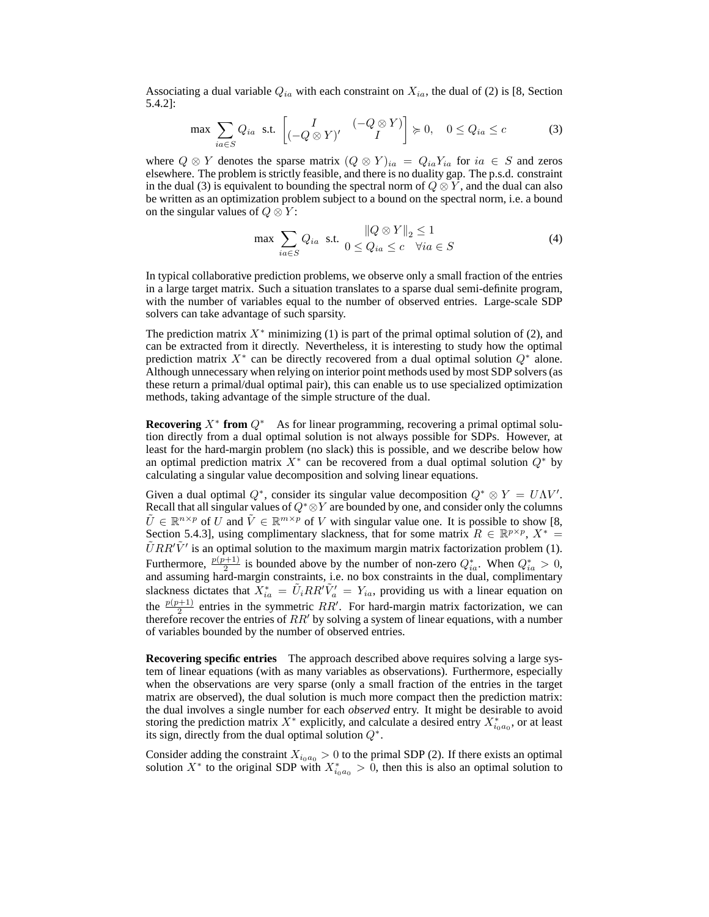Associating a dual variable  $Q_{ia}$  with each constraint on  $X_{ia}$ , the dual of (2) is [8, Section 5.4.2]:

$$
\max \sum_{ia \in S} Q_{ia} \text{ s.t. } \begin{bmatrix} I & (-Q \otimes Y) \\ (-Q \otimes Y)' & I \end{bmatrix} \succcurlyeq 0, \quad 0 \le Q_{ia} \le c \tag{3}
$$

where  $Q \otimes Y$  denotes the sparse matrix  $(Q \otimes Y)_{ia} = Q_{ia}Y_{ia}$  for  $ia \in S$  and zeros elsewhere. The problem is strictly feasible, and there is no duality gap. The p.s.d. constraint in the dual (3) is equivalent to bounding the spectral norm of  $Q \otimes Y$ , and the dual can also be written as an optimization problem subject to a bound on the spectral norm, i.e. a bound on the singular values of  $Q \otimes Y$ :

$$
\max \sum_{ia \in S} Q_{ia} \text{ s.t. } \begin{aligned} \|Q \otimes Y\|_2 &\le 1\\ 0 &\le Q_{ia} \le c \quad \forall ia \in S \end{aligned} \tag{4}
$$

In typical collaborative prediction problems, we observe only a small fraction of the entries in a large target matrix. Such a situation translates to a sparse dual semi-definite program, with the number of variables equal to the number of observed entries. Large-scale SDP solvers can take advantage of such sparsity.

The prediction matrix  $X^*$  minimizing (1) is part of the primal optimal solution of (2), and can be extracted from it directly. Nevertheless, it is interesting to study how the optimal prediction matrix  $X^*$  can be directly recovered from a dual optimal solution  $Q^*$  alone. Although unnecessary when relying on interior point methods used by most SDP solvers (as these return a primal/dual optimal pair), this can enable us to use specialized optimization methods, taking advantage of the simple structure of the dual.

**Recovering**  $X^*$  **from**  $Q^*$  As for linear programming, recovering a primal optimal solution directly from a dual optimal solution is not always possible for SDPs. However, at least for the hard-margin problem (no slack) this is possible, and we describe below how an optimal prediction matrix  $X^*$  can be recovered from a dual optimal solution  $Q^*$  by calculating a singular value decomposition and solving linear equations.

Given a dual optimal  $Q^*$ , consider its singular value decomposition  $Q^* \otimes Y = U\Lambda V'$ . Recall that all singular values of  $Q^* \otimes Y$  are bounded by one, and consider only the columns  $\tilde{U} \in \mathbb{R}^{n \times p}$  of  $U$  and  $\tilde{V} \in \mathbb{R}^{m \times p}$  of V with singular value one. It is possible to show [8, Section 5.4.3], using complimentary slackness, that for some matrix  $R \in \mathbb{R}^{p \times p}$ ,  $X^* =$  $\tilde{U}RR'\tilde{V}'$  is an optimal solution to the maximum margin matrix factorization problem (1). Furthermore,  $\frac{p(p+1)}{2}$  is bounded above by the number of non-zero  $Q_{ia}^*$ . When  $Q_{ia}^* > 0$ , and assuming hard-margin constraints, i.e. no box constraints in the dual, complimentary slackness dictates that  $X_{ia}^* = \tilde{U}_i RR' \tilde{V}_a' = Y_{ia}$ , providing us with a linear equation on the  $\frac{p(p+1)}{2}$  entries in the symmetric RR'. For hard-margin matrix factorization, we can therefore recover the entries of  $RR'$  by solving a system of linear equations, with a number of variables bounded by the number of observed entries.

**Recovering specific entries** The approach described above requires solving a large system of linear equations (with as many variables as observations). Furthermore, especially when the observations are very sparse (only a small fraction of the entries in the target matrix are observed), the dual solution is much more compact then the prediction matrix: the dual involves a single number for each *observed* entry. It might be desirable to avoid storing the prediction matrix  $X^*$  explicitly, and calculate a desired entry  $X^*_{i_0a_0}$ , or at least its sign, directly from the dual optimal solution  $Q^*$ .

Consider adding the constraint  $X_{i_0a_0} > 0$  to the primal SDP (2). If there exists an optimal solution  $X^*$  to the original SDP with  $X^*_{i_0a_0} > 0$ , then this is also an optimal solution to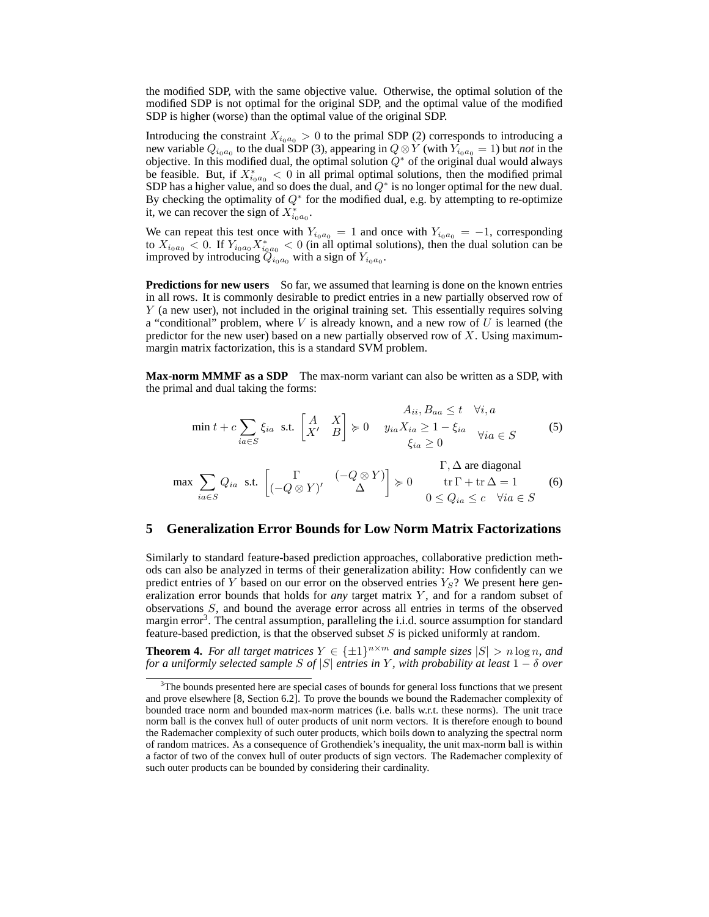the modified SDP, with the same objective value. Otherwise, the optimal solution of the modified SDP is not optimal for the original SDP, and the optimal value of the modified SDP is higher (worse) than the optimal value of the original SDP.

Introducing the constraint  $X_{i_0a_0} > 0$  to the primal SDP (2) corresponds to introducing a new variable  $Q_{i_0a_0}$  to the dual SDP (3), appearing in  $Q \otimes Y$  (with  $Y_{i_0a_0} = 1$ ) but *not* in the objective. In this modified dual, the optimal solution  $Q^*$  of the original dual would always be feasible. But, if  $X_{i_0a_0}^* < 0$  in all primal optimal solutions, then the modified primal SDP has a higher value, and so does the dual, and  $Q^*$  is no longer optimal for the new dual. By checking the optimality of  $Q^*$  for the modified dual, e.g. by attempting to re-optimize it, we can recover the sign of  $X_{i_0a_0}^*$ .

We can repeat this test once with  $Y_{i_0a_0} = 1$  and once with  $Y_{i_0a_0} = -1$ , corresponding to  $X_{i_0a_0} < 0$ . If  $Y_{i_0a_0}X_{i_0a_0}^* < 0$  (in all optimal solutions), then the dual solution can be improved by introducing  $\ddot{Q}_{i_0a_0}$  with a sign of  $Y_{i_0a_0}$ .

**Predictions for new users** So far, we assumed that learning is done on the known entries in all rows. It is commonly desirable to predict entries in a new partially observed row of Y (a new user), not included in the original training set. This essentially requires solving a "conditional" problem, where  $V$  is already known, and a new row of  $U$  is learned (the predictor for the new user) based on a new partially observed row of  $X$ . Using maximummargin matrix factorization, this is a standard SVM problem.

**Max-norm MMMF as a SDP** The max-norm variant can also be written as a SDP, with the primal and dual taking the forms:

$$
\min t + c \sum_{ia \in S} \xi_{ia} \text{ s.t. } \begin{bmatrix} A & X \\ X' & B \end{bmatrix} \succcurlyeq 0 \quad y_{ia} X_{ia} \ge 1 - \xi_{ia} \quad \forall ia \in S
$$
\n
$$
\xi_{ia} \ge 0 \qquad \qquad \Gamma, \Delta \text{ are diagonal}
$$
\n
$$
\begin{aligned}\n\Gamma_{ia} \ge 0 & \Gamma_{ia} \ge 0\n\end{aligned}
$$
\n
$$
\begin{aligned}\n\Gamma_{ia} &= 0 \\
\Gamma_{ia} &= 0\n\end{aligned}
$$
\n
$$
\begin{aligned}\n\Gamma_{ia} &= 0 \\
\Gamma_{ia} &= 0\n\end{aligned}
$$
\n
$$
\begin{aligned}\n\Gamma_{ia} &= 0 \\
\Gamma_{ia} &= 0\n\end{aligned}
$$
\n
$$
\begin{aligned}\n\Gamma_{ia} &= 0 \\
\Gamma_{ia} &= 0\n\end{aligned}
$$
\n
$$
\begin{aligned}\n\Gamma_{ia} &= 0 \\
\Gamma_{ia} &= 0\n\end{aligned}
$$
\n
$$
\begin{aligned}\n\Gamma_{ia} &= 0 \\
\Gamma_{ia} &= 0\n\end{aligned}
$$

$$
\max \sum_{ia \in S} Q_{ia} \text{ s.t. } \begin{bmatrix} \Gamma & (-Q \otimes Y) \\ (-Q \otimes Y)' & \Delta \end{bmatrix} \succcurlyeq 0 \qquad \begin{array}{c} \text{if } \Gamma + \text{tr} \Delta = 1 \\ \text{tr} \Gamma + \text{tr} \Delta = 1 \\ 0 \le Q_{ia} \le c \quad \forall ia \in S \end{array} \tag{6}
$$

#### **5 Generalization Error Bounds for Low Norm Matrix Factorizations**

Similarly to standard feature-based prediction approaches, collaborative prediction methods can also be analyzed in terms of their generalization ability: How confidently can we predict entries of Y based on our error on the observed entries  $Y_{S}$ ? We present here generalization error bounds that holds for *any* target matrix Y , and for a random subset of observations S, and bound the average error across all entries in terms of the observed margin error<sup>3</sup>. The central assumption, paralleling the i.i.d. source assumption for standard feature-based prediction, is that the observed subset  $S$  is picked uniformly at random.

**Theorem 4.** For all target matrices  $Y \in {\{\pm 1\}}^{n \times m}$  and sample sizes  $|S| > n \log n$ , and *for a uniformly selected sample* S *of* |S| *entries in* Y *, with probability at least* 1 − δ *over*

<sup>&</sup>lt;sup>3</sup>The bounds presented here are special cases of bounds for general loss functions that we present and prove elsewhere [8, Section 6.2]. To prove the bounds we bound the Rademacher complexity of bounded trace norm and bounded max-norm matrices (i.e. balls w.r.t. these norms). The unit trace norm ball is the convex hull of outer products of unit norm vectors. It is therefore enough to bound the Rademacher complexity of such outer products, which boils down to analyzing the spectral norm of random matrices. As a consequence of Grothendiek's inequality, the unit max-norm ball is within a factor of two of the convex hull of outer products of sign vectors. The Rademacher complexity of such outer products can be bounded by considering their cardinality.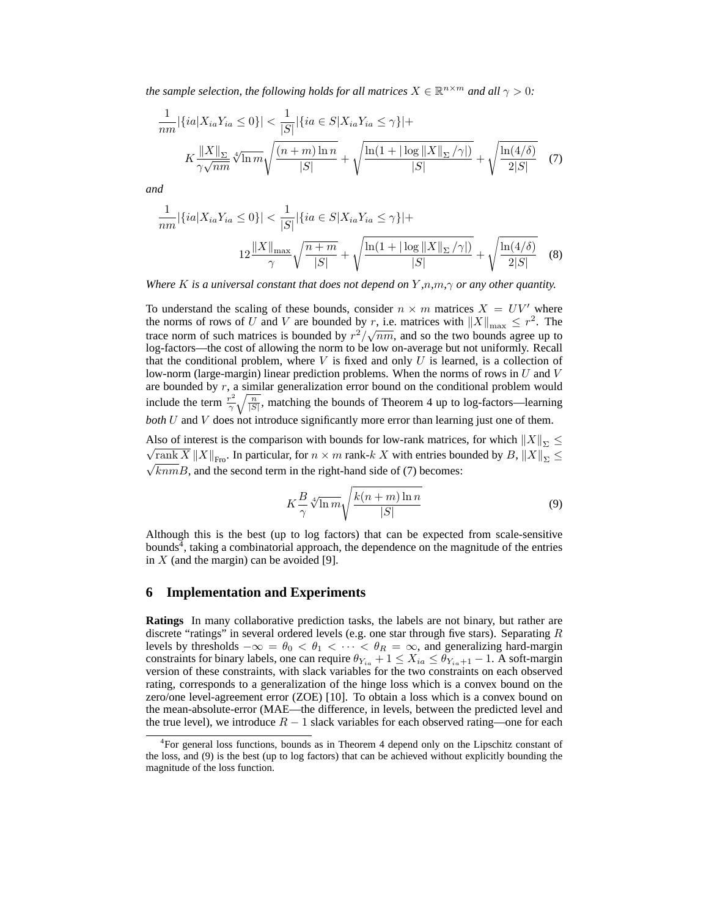*the sample selection, the following holds for all matrices*  $X \in \mathbb{R}^{n \times m}$  *and all*  $\gamma > 0$ *:* 

$$
\frac{1}{nm}|\{ia|X_{ia}Y_{ia} \le 0\}| < \frac{1}{|S|}|\{ia \in S|X_{ia}Y_{ia} \le \gamma\}| +
$$
  

$$
K\frac{||X||_{\Sigma}}{\gamma\sqrt{nm}}\sqrt[4]{\frac{(n+m)\ln n}{|S|}} + \sqrt{\frac{\ln(1+|\log ||X||_{\Sigma}/\gamma|)}{|S|}} + \sqrt{\frac{\ln(4/\delta)}{2|S|}} \quad (7)
$$

*and*

$$
\frac{1}{nm}|\{ia|X_{ia}Y_{ia} \le 0\}| < \frac{1}{|S|}|\{ia \in S|X_{ia}Y_{ia} \le \gamma\}| +
$$
  

$$
12\frac{\|X\|_{\max}}{\gamma} \sqrt{\frac{n+m}{|S|}} + \sqrt{\frac{\ln(1+|\log\|X\|_{\Sigma}/\gamma|)}{|S|}} + \sqrt{\frac{\ln(4/\delta)}{2|S|}} \quad (8)
$$

*Where* K *is a universal constant that does not depend on* Y *,*n*,*m*,*γ *or any other quantity.*

To understand the scaling of these bounds, consider  $n \times m$  matrices  $X = UV'$  where the norms of rows of U and V are bounded by r, i.e. matrices with  $||X||_{\text{max}} \leq r^2$ . The trace norm of such matrices is bounded by  $r^2/\sqrt{nm}$ , and so the two bounds agree up to log-factors—the cost of allowing the norm to be low on-average but not uniformly. Recall that the conditional problem, where  $V$  is fixed and only  $U$  is learned, is a collection of low-norm (large-margin) linear prediction problems. When the norms of rows in  $U$  and  $V$ are bounded by  $r$ , a similar generalization error bound on the conditional problem would include the term  $\frac{r^2}{\gamma}$  $\frac{r^2}{\gamma \sqrt{\frac{n}{|S|}}}$ , matching the bounds of Theorem 4 up to log-factors—learning *both* U and V does not introduce significantly more error than learning just one of them.

Also of interest is the comparison with bounds for low-rank matrices, for which  $||X||_{\Sigma} \leq$  $\sqrt{\text{rank } X} \|X\|_{\text{Fro}}$ . In particular, for  $n \times m$  rank- $k X$  with entries bounded by  $B, \|X\|_{\Sigma} \leq$  $\sqrt{knm}B$ , and the second term in the right-hand side of (7) becomes:

$$
K\frac{B}{\gamma}\sqrt[4]{\ln m}\sqrt{\frac{k(n+m)\ln n}{|S|}}\tag{9}
$$

Although this is the best (up to log factors) that can be expected from scale-sensitive bounds<sup> $4$ </sup>, taking a combinatorial approach, the dependence on the magnitude of the entries in  $X$  (and the margin) can be avoided [9].

## **6 Implementation and Experiments**

**Ratings** In many collaborative prediction tasks, the labels are not binary, but rather are discrete "ratings" in several ordered levels (e.g. one star through five stars). Separating  $R$ levels by thresholds  $-\infty = \theta_0 < \theta_1 < \cdots < \theta_R = \infty$ , and generalizing hard-margin constraints for binary labels, one can require  $\theta_{Y_{ia}} + 1 \leq X_{ia} \leq \theta_{Y_{ia}+1} - 1$ . A soft-margin version of these constraints, with slack variables for the two constraints on each observed rating, corresponds to a generalization of the hinge loss which is a convex bound on the zero/one level-agreement error (ZOE) [10]. To obtain a loss which is a convex bound on the mean-absolute-error (MAE—the difference, in levels, between the predicted level and the true level), we introduce  $R - 1$  slack variables for each observed rating—one for each

<sup>&</sup>lt;sup>4</sup>For general loss functions, bounds as in Theorem 4 depend only on the Lipschitz constant of the loss, and (9) is the best (up to log factors) that can be achieved without explicitly bounding the magnitude of the loss function.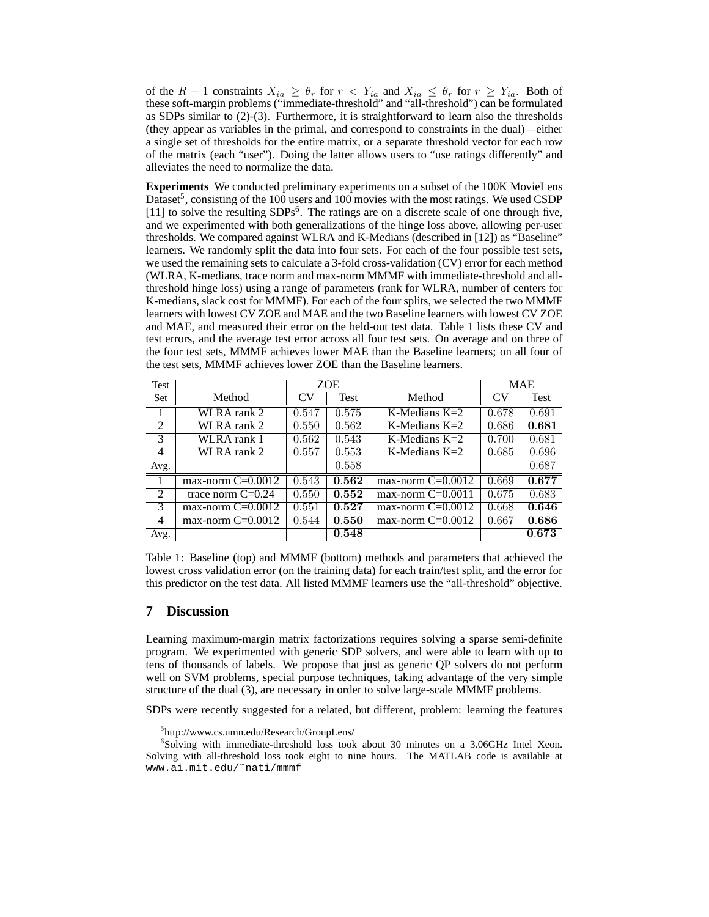of the  $R-1$  constraints  $X_{ia} \geq \theta_r$  for  $r < Y_{ia}$  and  $X_{ia} \leq \theta_r$  for  $r \geq Y_{ia}$ . Both of these soft-margin problems ("immediate-threshold" and "all-threshold") can be formulated as SDPs similar to (2)-(3). Furthermore, it is straightforward to learn also the thresholds (they appear as variables in the primal, and correspond to constraints in the dual)—either a single set of thresholds for the entire matrix, or a separate threshold vector for each row of the matrix (each "user"). Doing the latter allows users to "use ratings differently" and alleviates the need to normalize the data.

**Experiments** We conducted preliminary experiments on a subset of the 100K MovieLens Dataset<sup>5</sup>, consisting of the 100 users and 100 movies with the most ratings. We used CSDP [11] to solve the resulting SDPs<sup>6</sup>. The ratings are on a discrete scale of one through five, and we experimented with both generalizations of the hinge loss above, allowing per-user thresholds. We compared against WLRA and K-Medians (described in [12]) as "Baseline" learners. We randomly split the data into four sets. For each of the four possible test sets, we used the remaining sets to calculate a 3-fold cross-validation (CV) error for each method (WLRA, K-medians, trace norm and max-norm MMMF with immediate-threshold and allthreshold hinge loss) using a range of parameters (rank for WLRA, number of centers for K-medians, slack cost for MMMF). For each of the four splits, we selected the two MMMF learners with lowest CV ZOE and MAE and the two Baseline learners with lowest CV ZOE and MAE, and measured their error on the held-out test data. Table 1 lists these CV and test errors, and the average test error across all four test sets. On average and on three of the four test sets, MMMF achieves lower MAE than the Baseline learners; on all four of the test sets, MMMF achieves lower ZOE than the Baseline learners.

| <b>Test</b>    |                     | <b>ZOE</b> |       |                     | <b>MAE</b> |       |
|----------------|---------------------|------------|-------|---------------------|------------|-------|
| Set            | Method              | CV         | Test  | Method              | CV         | Test  |
| $\overline{1}$ | WLRA rank 2         | 0.547      | 0.575 | K-Medians $K=2$     | 0.678      | 0.691 |
| $\mathfrak{D}$ | WLRA rank 2         | 0.550      | 0.562 | K-Medians $K=2$     | 0.686      | 0.681 |
| 3              | WLRA rank 1         | 0.562      | 0.543 | K-Medians $K=2$     | 0.700      | 0.681 |
| 4              | WLRA rank 2         | 0.557      | 0.553 | K-Medians $K=2$     | 0.685      | 0.696 |
| Avg.           |                     |            | 0.558 |                     |            | 0.687 |
|                | max-norm $C=0.0012$ | 0.543      | 0.562 | max-norm $C=0.0012$ | 0.669      | 0.677 |
| 2              | trace norm $C=0.24$ | 0.550      | 0.552 | max-norm $C=0.0011$ | 0.675      | 0.683 |
| 3              | max-norm $C=0.0012$ | 0.551      | 0.527 | max-norm $C=0.0012$ | 0.668      | 0.646 |
| $\overline{4}$ | max-norm $C=0.0012$ | 0.544      | 0.550 | max-norm $C=0.0012$ | 0.667      | 0.686 |
| Avg.           |                     |            | 0.548 |                     |            | 0.673 |

Table 1: Baseline (top) and MMMF (bottom) methods and parameters that achieved the lowest cross validation error (on the training data) for each train/test split, and the error for this predictor on the test data. All listed MMMF learners use the "all-threshold" objective.

#### **7 Discussion**

Learning maximum-margin matrix factorizations requires solving a sparse semi-definite program. We experimented with generic SDP solvers, and were able to learn with up to tens of thousands of labels. We propose that just as generic QP solvers do not perform well on SVM problems, special purpose techniques, taking advantage of the very simple structure of the dual (3), are necessary in order to solve large-scale MMMF problems.

SDPs were recently suggested for a related, but different, problem: learning the features

<sup>5</sup> http://www.cs.umn.edu/Research/GroupLens/

<sup>6</sup> Solving with immediate-threshold loss took about 30 minutes on a 3.06GHz Intel Xeon. Solving with all-threshold loss took eight to nine hours. The MATLAB code is available at www.ai.mit.edu/˜nati/mmmf